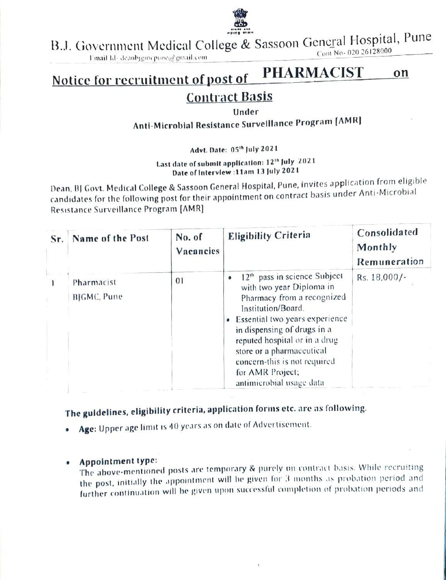

B.J. Government Medical College & Sassoon General Hospital, Pune<br>Fmail ld-deanbygmepune@gmail.com

# Notice for recruitment of post of PHARMACIST on

## Contract Basis

### Under

Anti-Microbial Resistance Survelllance Program [AMR.

Advt. Date: 05th July 2021

Last date of submit application: 12<sup>th</sup> July 2021 Date of Intervlew :11am 13 July 2021

Dean, B) Govt. Medical College & Sassoon General Hospital, Pune, invites application from eligible candidates for the following post for their appointment on contract basis under Anti-Microbial Resistance Surveillance Program [AMR]

| Sr. | Name of the Post          | No. of<br>Vacancies | <b>Eligibility Criteria</b>                                                                                                                                                                                                                                                                                                                       | Consolidated<br>Monthly<br>Remuneration |
|-----|---------------------------|---------------------|---------------------------------------------------------------------------------------------------------------------------------------------------------------------------------------------------------------------------------------------------------------------------------------------------------------------------------------------------|-----------------------------------------|
|     | Pharmacist<br>BIGMC, Pune | 01                  | 12 <sup>th</sup> pass in science Subject<br>۰<br>with two year Diploma in<br>Pharmacy from a recognized<br>Institution/Board.<br>Essential two years experience<br>۰<br>in dispensing of drugs in a<br>reputed hospital or in a drug<br>store or a pharmaceutical<br>concern-this is not required<br>for AMR Project;<br>antimicrobial usage data | Rs. 18,000/-                            |

The guidelines, eligibility criteria, application forms etc. are as following.

- Age: Upper age limit is 40 years as on date of Advertisement.
- 

Appointment type: The above-mentioned posts are temporary & purely on contract basis. While recruiting the post, initially the appointment will be given for 3 months as probation period and further continuation will be given upon successful completion of probation periods and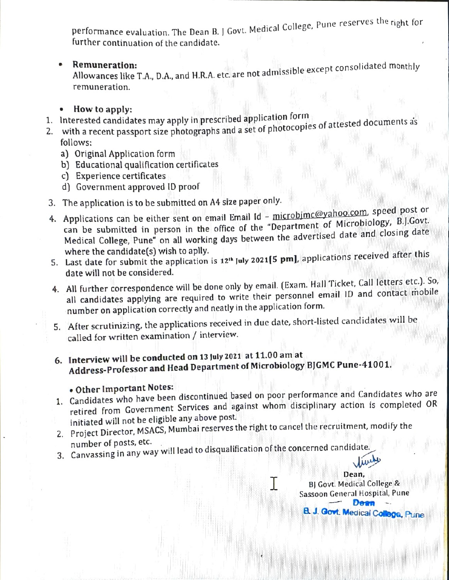performance evaluation. The Dean B. J Govt. Medical College, Pune reserves the right for further continuation of the candidate.

**Remuneration:**<br>Allowances like T.A., D.A., and H.R.A. etc. are not admissible except consolidated monthly remuneration.

### How to apply:

- 1. Interested candidates may apply in prescribed application torm
- 2. with a recent passport size photographs and a set of photocopies of attested documents as follows:
	- a) Original Application form
	- b) Educational qualification certificates
	- c) Experience certificates
	- d) Government approved ID proof
- 
- 3. The application is to be submitted on A4 size paper only.<br>4. Applications can be either sent on email Email Id microbimc@yahoo.com, speed post or can be submitted in person in the office of the "Department of Microbiology, B.J.Govt. Medical College, Pune" on all working days between the advertised date and closing date<br>where the candidate(s) wish to aplly.
- where the candidate(s) wish to aplly.<br>5. Last date for submit the application is 12<sup>th</sup> July 2021[5 pm], applications received after this date will not be considered.
- 4. All further correspondence will be done only by email. (Exam. Hall Ticket, Call letters etc.). So, all candidates applying are required to write their personnel email ID and contact mobile number on application correctly and neatly in the application form.
- 5. After scrutinizing, the applications received in due date, short-listed candidates will be called for written examination / interview.
- 6. Interview will be conducted on 13 July 2021 at 11.00 am at Address-Professor and Head Department of Microbiology BJGMC Pune-41001.

## Other Important Notes:

1. Candidates who have been discontinued based on poor performance and Candidates who are retired from Government Services and against whom disciplinary action is completed OR initiated will not be eligible any above post.

Dean,

Sassoon General Hospital, Pune Deen **A. J. Govt. Medical Collega, Pune** 

I BJ Govt. Medical College &

- 2. Project Director, MSACS, Mumbai reserves the right to cancel the recruitment, modify the number of posts, etc.
- 3. Canvassing in any way will lead to disqualification of the concerned candidate.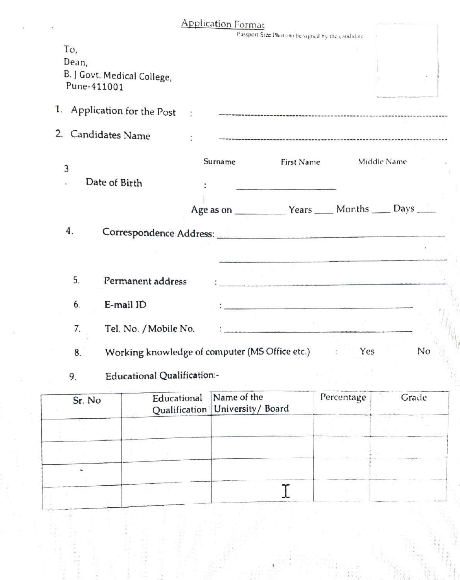|                                                            | <b>Application Format</b>                       |                                                   |                                                                                                                 |       |
|------------------------------------------------------------|-------------------------------------------------|---------------------------------------------------|-----------------------------------------------------------------------------------------------------------------|-------|
|                                                            |                                                 | Passport Size Photo to be signed by the candidate |                                                                                                                 |       |
| To,<br>Dean,<br>B. J Govt. Medical College,<br>Pune-411001 |                                                 |                                                   |                                                                                                                 |       |
| 1. Application for the Post                                | $\sim$                                          |                                                   |                                                                                                                 |       |
| 2 <sub>1</sub><br>Candidates Name                          |                                                 |                                                   |                                                                                                                 |       |
| $\mathfrak{Z}$<br>Date of Birth                            | Surname                                         | First Name                                        | Middle Name                                                                                                     |       |
| 4.                                                         |                                                 |                                                   |                                                                                                                 |       |
|                                                            | Correspondence Address: Correspondence Address: |                                                   | the contract of the contract of the contract of the contract of the contract of the contract of the contract of |       |
| 5.<br>Permanent address                                    |                                                 |                                                   |                                                                                                                 |       |
| 6.<br>E-mail ID                                            |                                                 |                                                   |                                                                                                                 |       |
| 7.<br>Tel. No. / Mobile No.                                |                                                 |                                                   |                                                                                                                 |       |
| 8.                                                         | Working knowledge of computer (MS Office etc.)  |                                                   | Yes<br>1.111                                                                                                    | No    |
| Educational Qualification:-<br>9.                          |                                                 |                                                   |                                                                                                                 |       |
| $C_{\text{m}}$ M <sub>a</sub>                              | Educational Name of the                         |                                                   | Percentage                                                                                                      | Grade |

| Sr. No | Educational Name of the | Qualification University / Board | Percentage | Grade |
|--------|-------------------------|----------------------------------|------------|-------|
|        |                         |                                  |            |       |
|        |                         |                                  |            |       |
|        |                         |                                  |            |       |
|        |                         |                                  |            |       |